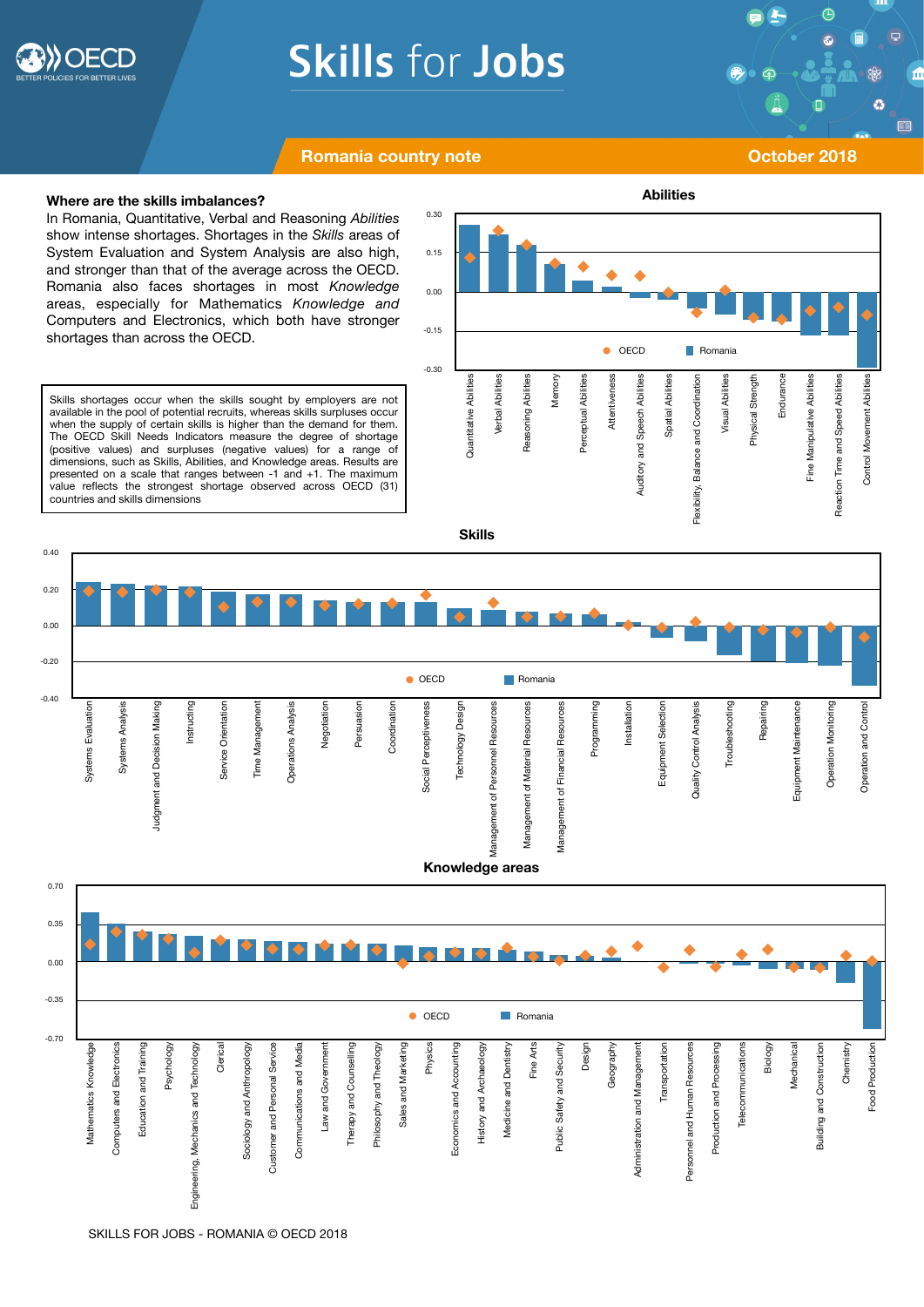

# **Skills for Jobs**

 $\bigoplus$ 

Ø

E

## **Romania country note CONSIDERED ATTICLES AND CONSIDERED ATTICLES AND THE CONSIDERED ATTICLES AND THE CONSIDERED ATTICLES AND THE CONSIDERATION OF A STRIKE ATTICLES AND THE CONSIDERED ATTICLES AND THE CONSIDERED ATTICLES**

#### **Where are the skills imbalances?**

In Romania, Quantitative, Verbal and Reasoning *Abilities*  show intense shortages. Shortages in the *Skills* areas of System Evaluation and System Analysis are also high, and stronger than that of the average across the OECD. Romania also faces shortages in most *Knowledge* areas, especially for Mathematics *Knowledge and*  Computers and Electronics, which both have stronger shortages than across the OECD.

Skills shortages occur when the skills sought by employers are not available in the pool of potential recruits, whereas skills surpluses occur when the supply of certain skills is higher than the demand for them. The OECD Skill Needs Indicators measure the degree of shortage (positive values) and surpluses (negative values) for a range of dimensions, such as Skills, Abilities, and Knowledge areas. Results are presented on a scale that ranges between -1 and +1. The maximum value reflects the strongest shortage observed across OECD (31) countries and skills dimensions





**Abilities**